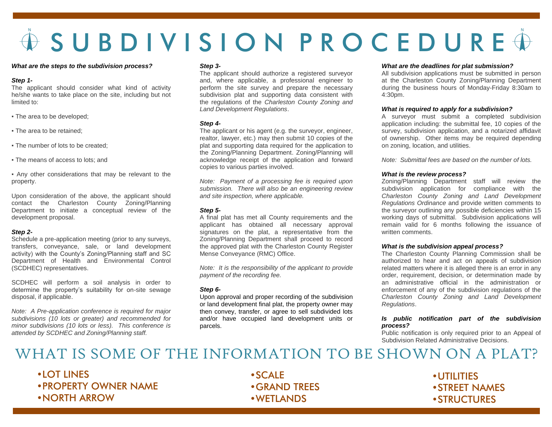# $\hat{\Phi}$  S U B D I V I S I O N P R O C E D U R E  $\hat{\Phi}$

### *What are the steps to the subdivision process?*

### *Step 1-*

The applicant should consider what kind of activity he/she wants to take place on the site, including but not limited to:

- The area to be developed;
- The area to be retained:
- The number of lots to be created:
- The means of access to lots: and

▪ Any other considerations that may be relevant to the property.

Upon consideration of the above, the applicant should contact the Charleston County Zoning/Planning Department to initiate a conceptual review of the development proposal.

### *Step 2-*

Schedule a pre-application meeting (prior to any surveys, transfers, conveyance, sale, or land development activity) with the County's Zoning/Planning staff and SC Department of Health and Environmental Control (SCDHEC) representatives.

SCDHEC will perform a soil analysis in order to determine the property's suitability for on-site sewage disposal, if applicable.

*Note: A Pre-application conference is required for major subdivisions (10 lots or greater) and recommended for minor subdivisions (10 lots or less). This conference is attended by SCDHEC and Zoning/Planning staff.*

### *Step 3-*

The applicant should authorize a registered surveyor and, where applicable, a professional engineer to perform the site survey and prepare the necessary subdivision plat and supporting data consistent with the regulations of the *Charleston County Zoning and Land Development Regulations*.

### *Step 4-*

The applicant or his agent (e.g. the surveyor, engineer, realtor, lawyer, etc.) may then submit 10 copies of the plat and supporting data required for the application to the Zoning/Planning Department. Zoning/Planning will acknowledge receipt of the application and forward copies to various parties involved.

*Note: Payment of a processing fee is required upon submission. There will also be an engineering review and site inspection, where applicable.*

### *Step 5-*

A final plat has met all County requirements and the applicant has obtained all necessary approval signatures on the plat, a representative from the Zoning/Planning Department shall proceed to record the approved plat with the Charleston County Register Mense Conveyance (RMC) Office.

*Note: It is the responsibility of the applicant to provide payment of the recording fee.*

### *Step 6-*

Upon approval and proper recording of the subdivision or land development final plat, the property owner may then convey, transfer, or agree to sell subdivided lots and/or have occupied land development units or parcels.

### *What are the deadlines for plat submission?*

All subdivision applications must be submitted in person at the Charleston County Zoning/Planning Department during the business hours of Monday-Friday 8:30am to 4:30pm.

### *What is required to apply for a subdivision?*

A surveyor must submit a completed subdivision application including: the submittal fee, 10 copies of the survey, subdivision application, and a notarized affidavit of ownership. Other items may be required depending on zoning, location, and utilities.

*Note: Submittal fees are based on the number of lots.*

### *What is the review process?*

Zoning/Planning Department staff will review the subdivision application for compliance with the *Charleston County Zoning and Land Development Regulations Ordinance* and provide written comments to the surveyor outlining any possible deficiencies within 15 working days of submittal. Subdivision applications will remain valid for 6 months following the issuance of written comments.

### *What is the subdivision appeal process?*

The Charleston County Planning Commission shall be authorized to hear and act on appeals of subdivision related matters where it is alleged there is an error in any order, requirement, decision, or determination made by an administrative official in the administration or enforcement of any of the subdivision regulations of the *Charleston County Zoning and Land Development Regulations*.

### *Is public notification part of the subdivision process?*

Public notification is only required prior to an Appeal of Subdivision Related Administrative Decisions.

# WHAT IS SOME OF THE INFORMATION TO BE SHOWN ON A PLAT?

- •LOT LINES
- •PROPERTY OWNER NAME
- •NORTH ARROW

•SCALE •GRAND TREES •WETLANDS

•UTILITIES •STREET NAMES •STRUCTURES